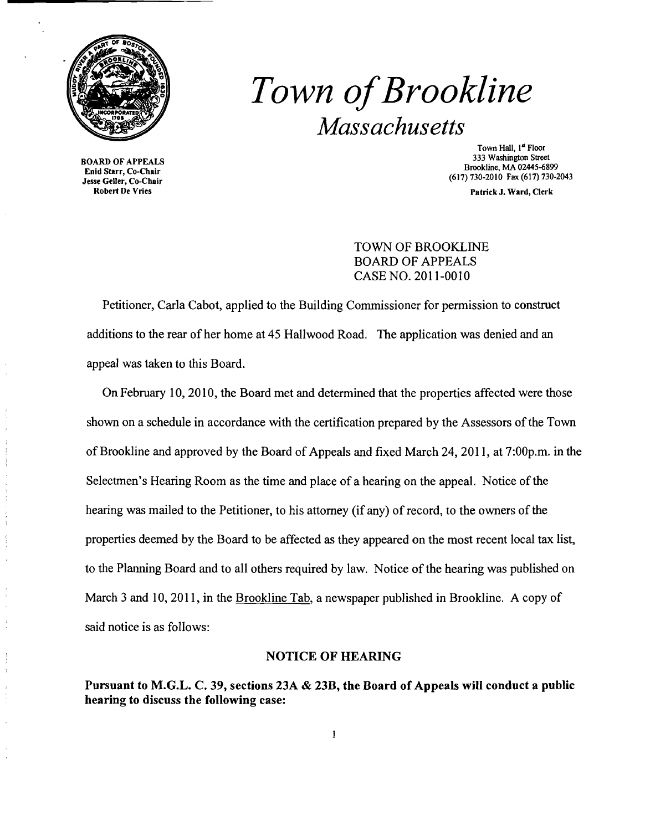

# *Town ofBrookline Massachusetts*

BOARD OF APPEALS Enid Starr, Co-Chair Jesse Geller, Co-Chair Robert De Vries

Town Hall, I<sup>st</sup> Floor 333 Washington Street Brookline, MA 02445-6899 (617) 730-2010 Fax (617) 730-2043

Patrick J. Ward, Clerk

TOWN OF BROOKLINE BOARD OF APPEALS CASE NO. 2011-0010

Petitioner, Carla Cabot, applied to the Building Commissioner for pennission to construct additions to the rear of her home at 45 Hallwood Road. The application was denied and an appeal was taken to this Board.

On February 10, 2010, the Board met and detennined that the properties affected were those shown on a schedule in accordance with the certification prepared by the Assessors of the Town of Brookline and approved by the Board of Appeals and fixed March 24,2011, at 7:00p.m. in the Selectmen's Hearing Room as the time and place of a hearing on the appeal. Notice of the hearing was mailed to the Petitioner, to his attorney (if any) of record, to the owners of the properties deemed by the Board to be affected as they appeared on the most recent local tax list, to the Planning Board and to all others required by law. Notice of the hearing was published on March 3 and 10, 2011, in the Brookline Tab, a newspaper published in Brookline. A copy of said notice is as follows:

### NOTICE OF HEARING

Pursuant to M.G.L. C. 39, sections 23A & 23B, the Board of Appeals will conduct a public hearing to discuss the following case: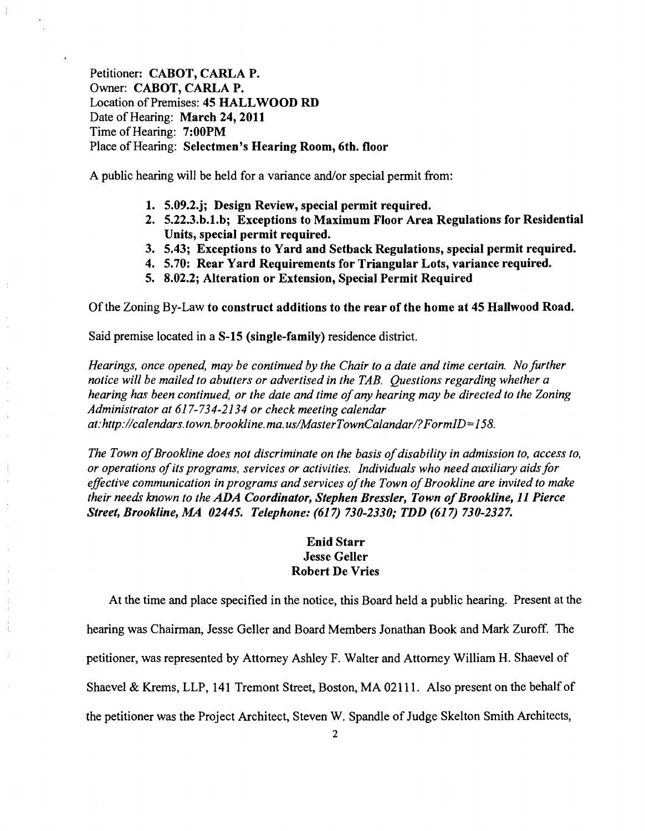Petitioner: CABOT, CARLA P. Owner: CABOT, CARLA P. Location of Premises: 45 HALLWOOD RD Date of Hearing: March 24, 2011 Time of Hearing: 7:00PM Place of Hearing: Selectmen's Hearing Room, 6th. floor

A public hearing will be held for a variance and/or special permit from:

- 1. 5.09.2.j; Design Review, special permit required.
- 2. 5.22.3.b.1.b; Exceptions to Maximum Floor Area Regulations for Residential Units, special permit required.
- 3. 5.43; Exceptions to Yard and Setback Regulations, special permit required.
- 4. 5.70: Rear Yard Requirements for Triangular Lots, variance required.
- 5. 8.02.2; Alteration or Extension, Special Permit Required

Of the Zoning By-Law to construct additions to the rear of the home at 45 Hallwood Road.

Said premise located in a S-15 (single-family) residence district.

*Hearings, once opened, may be continued by the Chair to a date and time certain. No further notice will be mailed to abutters or advertised in the TAB. Questions regarding whether a hearing has been continued, or the date and time ofany hearing may be directed to the Zoning Administrator at* 617-734-2134 *or check meeting calendar at:http://calendars.town.brookline.ma.usIMasterTownCalandarl?FormID=158.* 

The Town of Brookline does not discriminate on the basis of disability in admission to, access to, *or operations ofits programs, services or activities. Individuals who need auxiliary aidsfor*  effective communication in programs and services of the Town of Brookline are invited to make *their needs known to the ADA Coordinator, Stephen Bressler, Town of Brookline, 11 Pierce Street, Brookline, MA 02445. Telephone:* (617) *730-2330,. TDD* (617) *730-2327.* 

## Enid Starr Jesse Geller Robert De Vries

At the time and place specified in the notice, this Board held a public hearing. Present at the hearing was Chairman, Jesse Geller and Board Members Jonathan Book and Mark Zuroff. The petitioner, was represented by Attorney Ashley F. Walter and Attorney William H. Shaevel of Shaevel & Krems, LLP, 141 Tremont Street, Boston, MA 02111. Also present on the behalf of the petitioner was the Project Architect, Steven W. Spandle of Judge Skelton Smith Architects,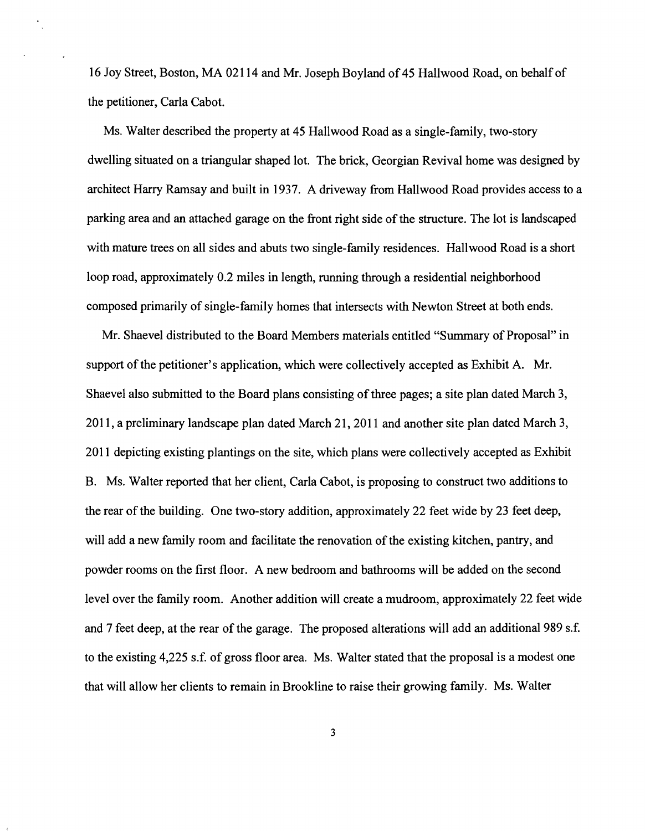16 Joy Street, Boston, MA 02114 and Mr. Joseph Boyland of 45 Hallwood Road, on behalf of the petitioner, Carla Cabot.

Ms. Walter described the property at 45 Hallwood Road as a single-family, two-story dwelling situated on a triangular shaped lot. The brick, Georgian Revival home was designed by architect Harry Ramsay and built in 1937. A driveway from Hallwood Road provides access to a parking area and an attached garage on the front right side of the structure. The lot is landscaped with mature trees on all sides and abuts two single-family residences. Hallwood Road is a short loop road, approximately 0.2 miles in length, running through a residential neighborhood composed primarily of single-family homes that intersects with Newton Street at both ends.

Mr. Shaevel distributed to the Board Members materials entitled "Summary of Proposal" in support of the petitioner's application, which were collectively accepted as Exhibit A. Mr. Shaevel also submitted to the Board plans consisting of three pages; a site plan dated March 3, 2011, a preliminary landscape plan dated March 21, 2011 and another site plan dated March 3, 2011 depicting existing plantings on the site, which plans were collectively accepted as Exhibit B. Ms. Walter reported that her client, Carla Cabot, is proposing to construct two additions to the rear of the building. One two-story addition, approximately 22 feet wide by 23 feet deep, will add a new family room and facilitate the renovation of the existing kitchen, pantry, and powder rooms on the first floor. A new bedroom and bathrooms will be added on the second level over the family room. Another addition will create a mudroom, approximately 22 feet wide and 7 feet deep, at the rear of the garage. The proposed alterations will add an additional 989 s.f. to the existing 4,225 s.f. of gross floor area. Ms. Walter stated that the proposal is a modest one that will allow her clients to remain in Brookline to raise their growing family. Ms. Walter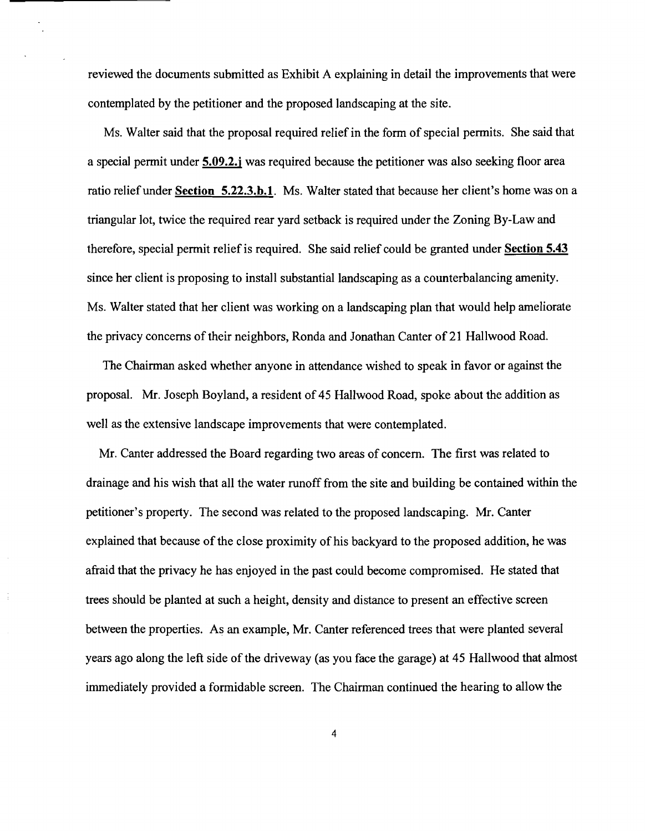reviewed the documents submitted as Exhibit A explaining in detail the improvements that were contemplated by the petitioner and the proposed landscaping at the site.

Ms. Walter said that the proposal required relief in the form of special permits. She said that a special permit under **5.09.2.j** was required because the petitioner was also seeking floor area ratio relief under **Section 5.22.3.b.l.** Ms. Walter stated that because her client's home was on a triangular lot, twice the required rear yard setback is required under the Zoning By-Law and therefore, special permit relief is required. She said relief could be granted under **Section 5.43**  since her client is proposing to install substantial landscaping as a counterbalancing amenity. Ms. Walter stated that her client was working on a landscaping plan that would help ameliorate the privacy concerns of their neighbors, Ronda and Jonathan Canter of 21 Hallwood Road.

The Chairman asked whether anyone in attendance wished to speak in favor or against the proposal. Mr. Joseph Boyland, a resident of 45 Hallwood Road, spoke about the addition as well as the extensive landscape improvements that were contemplated.

Mr. Canter addressed the Board regarding two areas of concern. The first was related to drainage and his wish that all the water runoff from the site and building be contained within the petitioner's property. The second was related to the proposed landscaping. Mr. Canter explained that because of the close proximity of his backyard to the proposed addition, he was afraid that the privacy he has enjoyed in the past could become compromised. He stated that trees should be planted at such a height, density and distance to present an effective screen between the properties. As an example, Mr. Canter referenced trees that were planted several years ago along the left side of the driveway (as you face the garage) at 45 Hallwood that almost immediately provided a formidable screen. The Chairman continued the hearing to allow the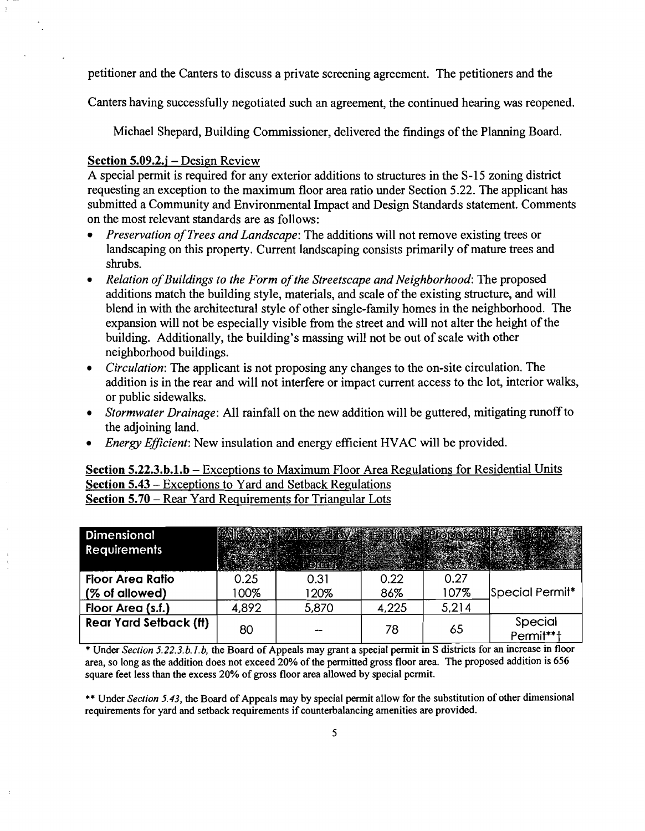petitioner and the Canters to discuss a private screening agreement. The petitioners and the

Canters having successfully negotiated such an agreement, the continued hearing was reopened.

Michael Shepard, Building Commissioner, delivered the findings of the Planning Board.

#### Section 5.09.2.j – Design Review

A special permit is required for any exterior additions to structures in the S-15 zoning district requesting an exception to the maximum floor area ratio under Section 5.22. The applicant has submitted a Community and Environmental Impact and Design Standards statement. Comments on the most relevant standards are as follows:

- *Preservation of Trees and Landscape: The additions will not remove existing trees or* landscaping on this property. Current landscaping consists primarily of mature trees and shrubs.
- *• Relation ofBuildings to the Form ofthe Streetscape and Neighborhood:* The proposed additions match the building style, materials, and scale of the existing structure, and will blend in with the architectural style of other single-family homes in the neighborhood. The expansion will not be especially visible from the street and will not alter the height of the building. Additionally, the building's massing will not be out of scale with other neighborhood buildings.
- *Circulation:* The applicant is not proposing any changes to the on-site circulation. The addition is in the rear and will not interfere or impact current access to the lot, interior walks, or public sidewalks.
- *Stormwater Drainage:* All rainfall on the new addition will be guttered, mitigating runoff to the adjoining land.
- *Energy Efficient:* New insulation and energy efficient HVAC will be provided.

Section 5.22.3.b.1.b – Exceptions to Maximum Floor Area Regulations for Residential Units Section 5.43 - Exceptions to Yard and Setback Regulations Section 5.70 – Rear Yard Requirements for Triangular Lots

| <b>Dimensional</b><br><b>Requirements</b> |       | <b>WALLOW COOK FIRE AND IN PRODUCTS</b><br>Gorac tell |       |       |                      |
|-------------------------------------------|-------|-------------------------------------------------------|-------|-------|----------------------|
| <b>Floor Area Ratio</b>                   | 0.25  | 0.31                                                  | 0.22  | 0.27  |                      |
| (% of allowed)                            | 100%  | 120%                                                  | 86%   | 107%  | Special Permit*      |
| Floor Area (s.f.)                         | 4,892 | 5,870                                                 | 4,225 | 5,214 |                      |
| <b>Rear Yard Setback (ft)</b>             | 80    |                                                       | 78    | 65    | Special<br>Permit**† |

\* Under *Section 5.22.3.b.l.b*, the Board of Appeals may grant a special permit in S districts for an increase in floor area, so long as the addition does not exceed 20% of the pennitted gross floor area. The proposed addition is 656 square feet less than the excess 20% of gross floor area allowed by special permit.

\*\* Under *Section 5.43*, the Board of Appeals may by special permit allow for the substitution of other dimensional requirements for yard and setback requirements if counterbalancing amenities are provided.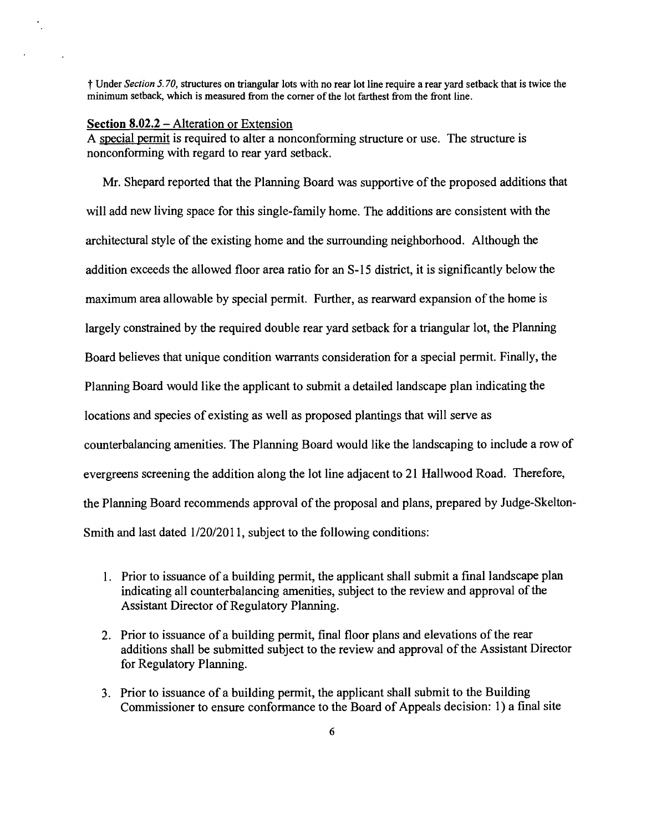t Under *Section* 5. *70,* structures on triangular lots with no rear lot line require a rear yard setback that is twice the minimum setback, which is measured from the comer of the lot farthest from the front line.

## **Section 8.02.2** - Alteration or Extension

A special permit is required to alter a nonconforming structure or use. The structure is nonconfonning with regard to rear yard setback.

Mr. Shepard reported that the Planning Board was supportive of the proposed additions that will add new living space for this single-family home. The additions are consistent with the architectural style of the existing home and the surrounding neighborhood. Although the addition exceeds the allowed floor area ratio for an S-15 district, it is significantly below the maximum area allowable by special permit. Further, as rearward expansion of the home is largely constrained by the required double rear yard setback for a triangular lot, the Planning Board believes that unique condition warrants consideration for a special pennit. Finally, the Planning Board would like the applicant to submit a detailed landscape plan indicating the locations and species of existing as well as proposed plantings that will serve as counterbalancing amenities. The Planning Board would like the landscaping to include a row of evergreens screening the addition along the lot line adjacent to 21 Hallwood Road. Therefore, the Planning Board recommends approval of the proposal and plans, prepared by Judge-Skelton-Smith and last dated  $1/20/2011$ , subject to the following conditions:

- 1. Prior to issuance of a building permit, the applicant shall submit a final landscape plan indicating all counterbalancing amenities, subject to the review and approval of the Assistant Director of Regulatory Planning.
- 2. Prior to issuance of a building permit, final floor plans and elevations of the rear additions shall be submitted subject to the review and approval of the Assistant Director for Regulatory Planning.
- 3. Prior to issuance of a building pennit, the applicant shall submit to the Building Commissioner to ensure conformance to the Board of Appeals decision: I) a final site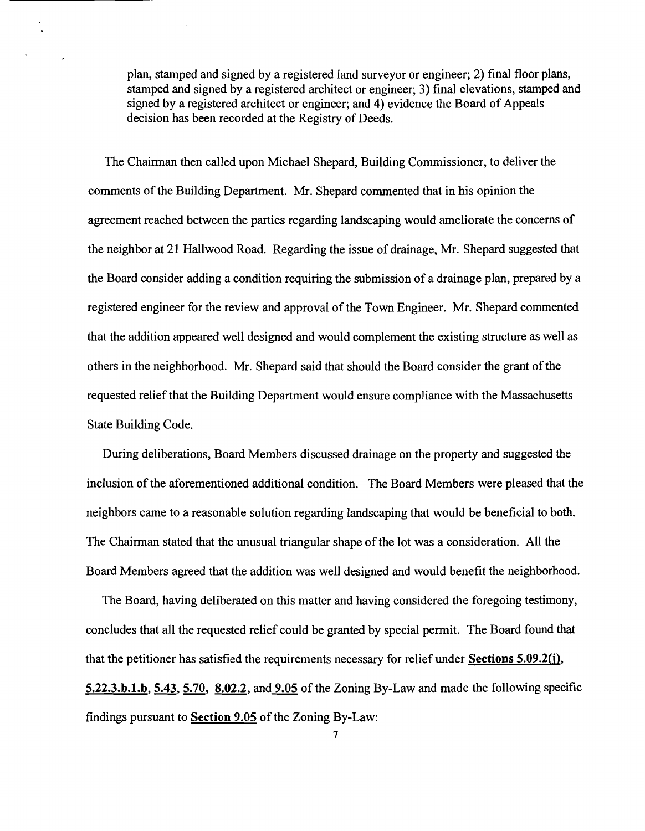plan, stamped and signed by a registered land surveyor or engineer; 2) final floor plans, stamped and signed by a registered architect or engineer; 3) final elevations, stamped and signed by a registered architect or engineer; and 4) evidence the Board of Appeals decision has been recorded at the Registry of Deeds.

The Chairman then called upon Michael Shepard, Building Commissioner, to deliver the comments of the Building Department. Mr. Shepard commented that in his opinion the agreement reached between the parties regarding landscaping would ameliorate the concerns of the neighbor at 21 Hallwood Road. Regarding the issue of drainage, Mr. Shepard suggested that the Board consider adding a condition requiring the submission of a drainage plan, prepared by a registered engineer for the review and approval of the Town Engineer. Mr. Shepard commented that the addition appeared well designed and would complement the existing structure as well as others in the neighborhood. Mr. Shepard said that should the Board consider the grant of the requested relief that the Building Department would ensure compliance with the Massachusetts State Building Code.

During deliberations, Board Members discussed drainage on the property and suggested the inclusion of the aforementioned additional condition. The Board Members were pleased that the neighbors came to a reasonable solution regarding landscaping that would be beneficial to both. The Chairman stated that the unusual triangular shape of the lot was a consideration. All the Board Members agreed that the addition was well designed and would benefit the neighborhood.

The Board, having deliberated on this matter and having considered the foregoing testimony, concludes that all the requested relief could be granted by special permit. The Board found that that the petitioner has satisfied the requirements necessary for relief under Sections 5.09.2(j), 5.22.3.b.l.b, 5.43, 5.70, 8.02.2, and 9.05 of the Zoning By-Law and made the following specific findings pursuant to **Section 9.05** of the Zoning By-Law: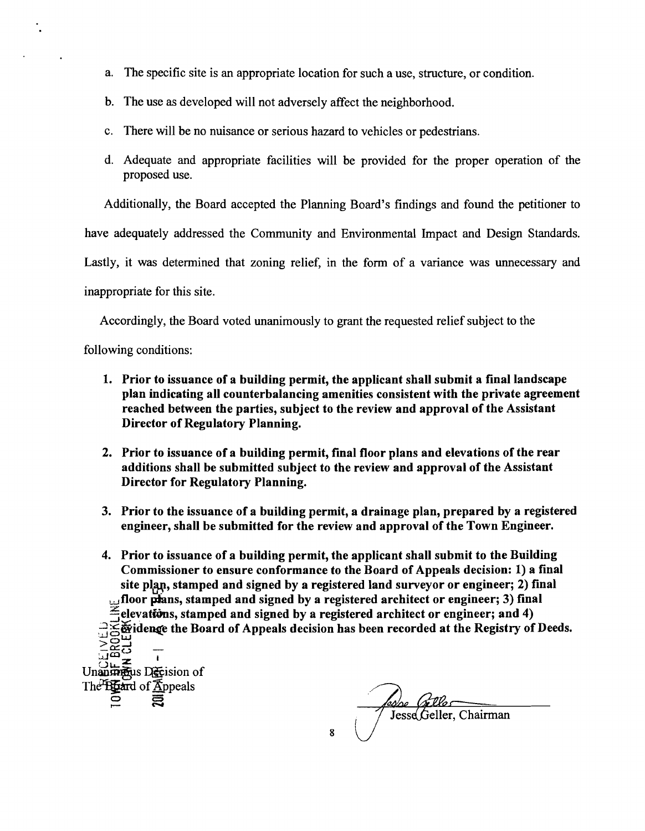- a. The specific site is an appropriate location for such a use, structure, or condition.
- b. The use as developed will not adversely affect the neighborhood.
- c. There will be no nuisance or serious hazard to vehicles or pedestrians.
- d. Adequate and appropriate facilities will be provided for the proper operation of the proposed use.

Additionally, the Board accepted the Planning Board's findings and found the petitioner to

have adequately addressed the Community and Environmental Impact and Design Standards.

Lastly, it was determined that zoning relief, in the form of a variance was unnecessary and

inappropriate for this site.

Accordingly, the Board voted unanimously to grant the requested relief subject to the

following conditions:

 $\Xi$  .

- 1. Prior to issuance of a building permit, the applicant shall submit a final landscape plan indicating all counterbalancing amenities consistent with the private agreement reached between the parties, subject to the review and approval of the Assistant Director of Regulatory Planning.
- 2. Prior to issuance of a building permit, final floor plans and elevations of the rear additions shall be submitted subject to the review and approval of the Assistant Director for Regulatory Planning.
- 3. Prior to the issuance of a building permit, a drainage plan, prepared by a registered engineer, shall be submitted for the review and approval of the Town Engineer.
- 4. Prior to issuance of a building permit, the applicant shall submit to the Building Commissioner to ensure conformance to the Board of Appeals decision: 1) a final site plan, stamped and signed by a registered land surveyor or engineer; 2) final floor plans, stamped and signed by a registered architect or engineer; 3) final  $\epsilon$  elevations, stamped and signed by a registered architect or engineer; and 4)  $\mathbb{Z}_{\geq 0}$  idence the Board of Appeals decision has been recorded at the Registry of Deeds. >0.....J  $\widetilde{\mathbb{G}}$ ಹೆರ Unan metals Decision of The Board of Appeals

Jesse Geller, Chairman